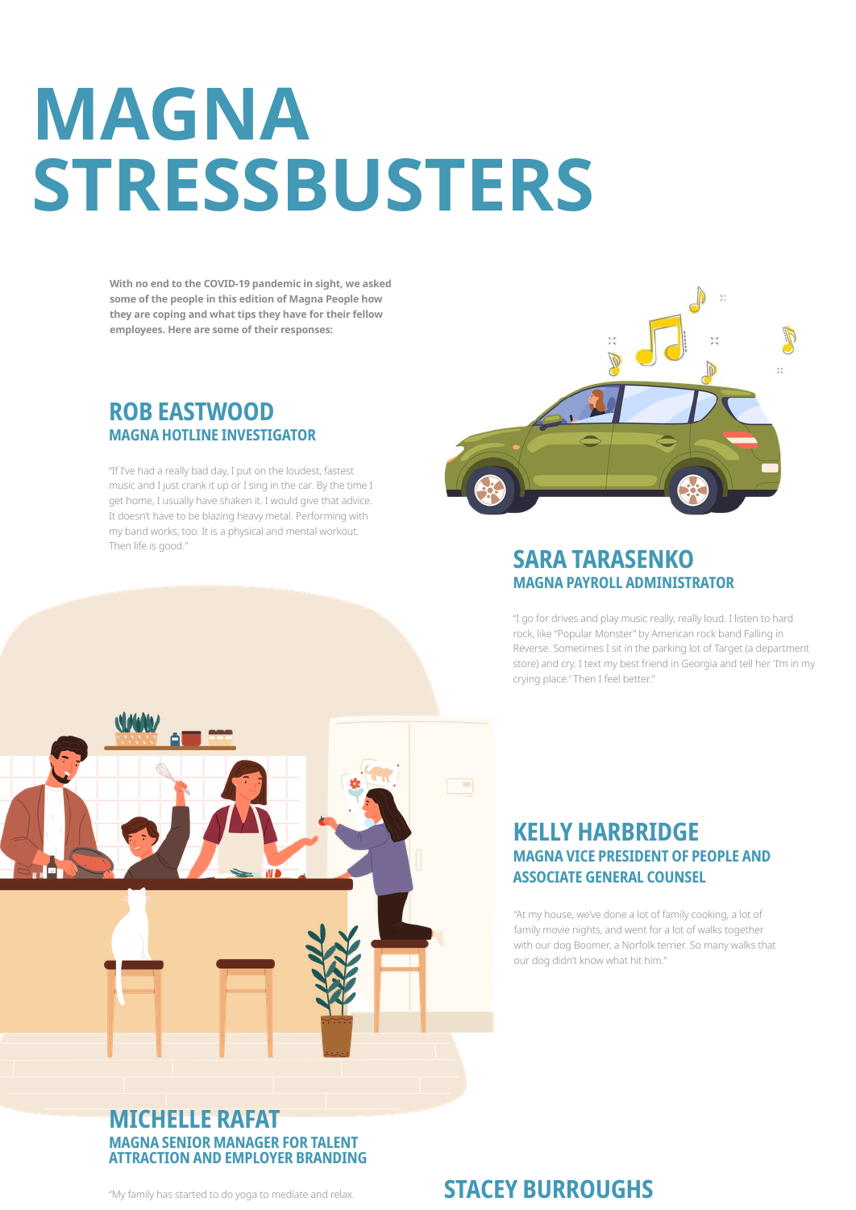# **MAGNA STRESSBUSTERS**

With no end to the COVID-19 pandemic in sight, we asked some of the people in this edition of Magna People how they are coping and what tips they have for their fellow employees. Here are some of their responses:

## **ROB EASTWOOD MAGNA HOTLINE INVESTIGATOR**

"If I've had a really bad day, I put on the loudest, fastest music and I just crank it up or I sing in the car. By the time I get home, I usually have shaken it. I would give that advice. It doesn't have to be blazing heavy metal. Performing with my band works, too. It is a physical and mental workout. Then life is good."



## **SARA TARASENKO MAGNA PAYROLL ADMINISTRATOR**

"I go for drives and play music really, really loud. I listen to hard rock, like "Popular Monster" by American rock band Falling in Reverse. Sometimes I sit in the parking lot of Target (a department store) and cry. I text my best friend in Georgia and tell her 'I'm in my crying place.' Then I feel better."

## **KELLY HARBRIDGE MAGNA VICE PRESIDENT OF PEOPLE AND ASSOCIATE GENERAL COUNSEL**

"At my house, we've done a lot of family cooking, a lot of family movie nights, and went for a lot of walks together with our dog Boomer, a Norfolk terrier. So many walks that our dog didn't know what hit him."

## **MICHELLE RAFAT MAGNA SENIOR MANAGER FOR TALENT ATTRACTION AND EMPLOYER BRANDING**

"My family has started to do yoga to mediate and relax.

## **STACEY BURROUGHS**

 $\overline{\phantom{a}}$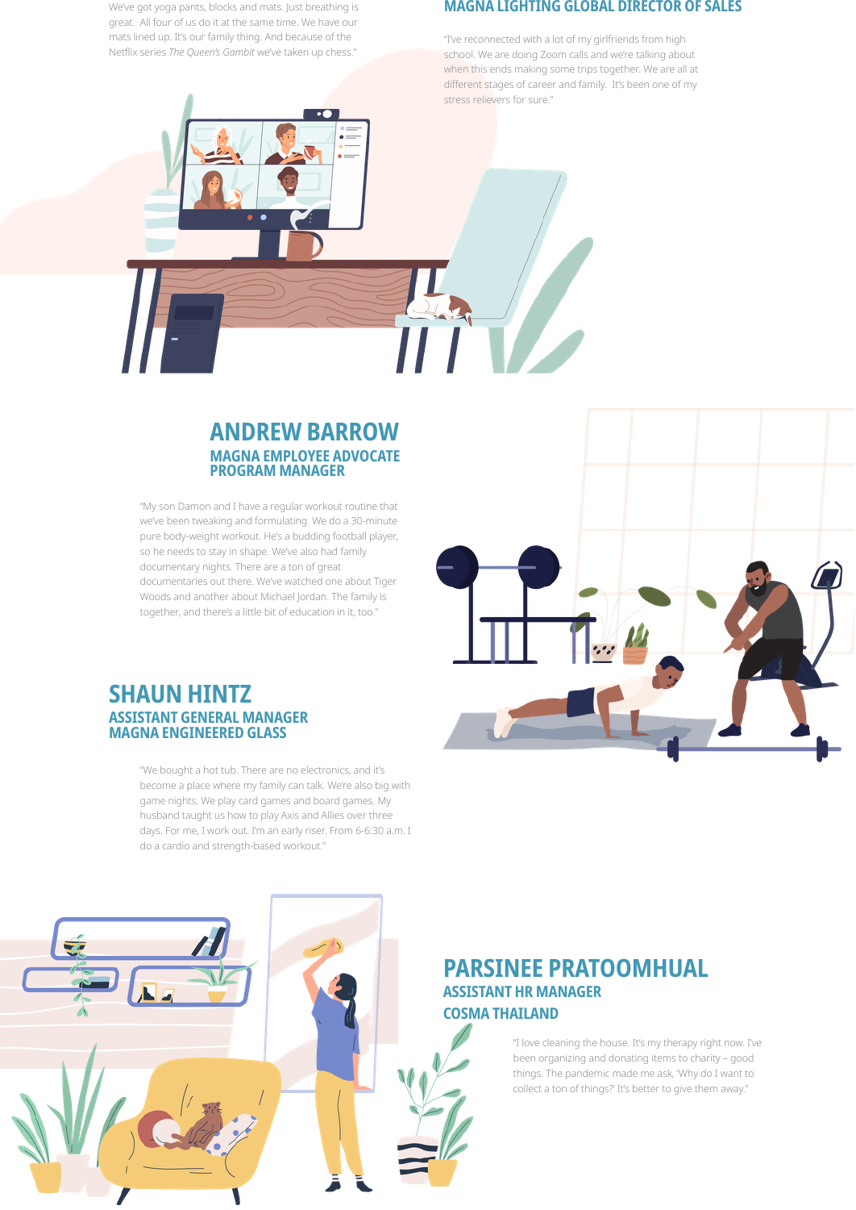We've got yoga pants, blocks and mats. Just breathing is great. All four of us do it at the same time. We have our mats lined up. It's our family thing. And because of the Netflix series The Queen's Gambit we've taken up chess."

#### **MAGNA LIGHTING GLOBAL DIRECTOR OF SALES**

"I've reconnected with a lot of my girlfriends from high school. We are doing Zoom calls and we're talking about when this ends making some trips together. We are all at different stages of career and family. It's been one of my stress relievers for sure."

## **ANDREW BARROW MAGNA EMPLOYEE ADVOCATE PROGRAM MANAGER**

"My son Damon and I have a regular workout routine that we've been tweaking and formulating. We do a 30-minute pure body-weight workout. He's a budding football player, so he needs to stay in shape. We've also had family documentary nights. There are a ton of great documentaries out there. We've watched one about Tiger Woods and another about Michael Jordan. The family is together, and there's a little bit of education in it, too."

### **SHAUN HINTZ ASSISTANT GENERAL MANAGER MAGNA ENGINEERED GLASS**

"We bought a hot tub. There are no electronics, and it's become a place where my family can talk. We're also big with game nights. We play card games and board games. My husband taught us how to play Axis and Allies over three days. For me, I work out. I'm an early riser. From 6-6:30 a.m. I do a cardio and strength-based workout."





## **PARSINEE PRATOOMHUAL ASSISTANT HR MANAGER COSMA THAILAND**

"I love cleaning the house. It's my therapy right now. I've been organizing and donating items to charity - good things. The pandemic made me ask, 'Why do I want to collect a ton of things?' It's better to give them away."